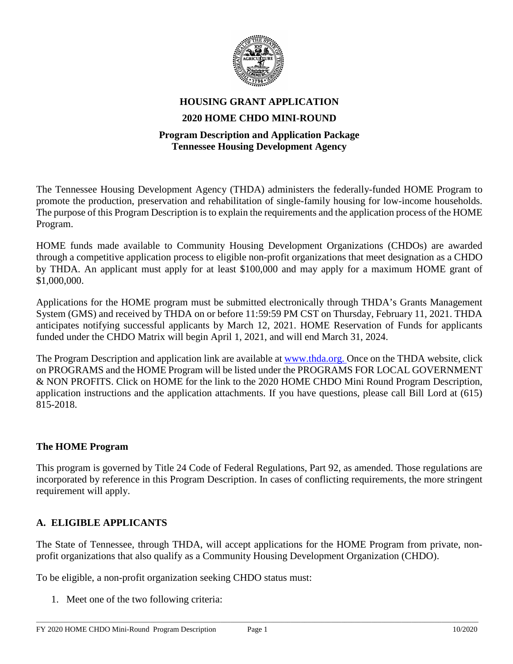

# **HOUSING GRANT APPLICATION 2020 HOME CHDO MINI-ROUND**

#### **Program Description and Application Package Tennessee Housing Development Agency**

The Tennessee Housing Development Agency (THDA) administers the federally-funded HOME Program to promote the production, preservation and rehabilitation of single-family housing for low-income households. The purpose of this Program Description is to explain the requirements and the application process of the HOME Program.

HOME funds made available to Community Housing Development Organizations (CHDOs) are awarded through a competitive application process to eligible non-profit organizations that meet designation as a CHDO by THDA. An applicant must apply for at least \$100,000 and may apply for a maximum HOME grant of \$1,000,000.

Applications for the HOME program must be submitted electronically through THDA's Grants Management System (GMS) and received by THDA on or before 11:59:59 PM CST on Thursday, February 11, 2021. THDA anticipates notifying successful applicants by March 12, 2021. HOME Reservation of Funds for applicants funded under the CHDO Matrix will begin April 1, 2021, and will end March 31, 2024.

The Program Description and application link are available at [www.thda.org. O](http://www.thda.org/)nce on the THDA website, click on PROGRAMS and the HOME Program will be listed under the PROGRAMS FOR LOCAL GOVERNMENT & NON PROFITS. Click on HOME for the link to the 2020 HOME CHDO Mini Round Program Description, application instructions and the application attachments. If you have questions, please call Bill Lord at (615) 815-2018.

#### **The HOME Program**

This program is governed by Title 24 Code of Federal Regulations, Part 92, as amended. Those regulations are incorporated by reference in this Program Description. In cases of conflicting requirements, the more stringent requirement will apply.

#### **A. ELIGIBLE APPLICANTS**

The State of Tennessee, through THDA, will accept applications for the HOME Program from private, nonprofit organizations that also qualify as a Community Housing Development Organization (CHDO).

To be eligible, a non-profit organization seeking CHDO status must:

1. Meet one of the two following criteria: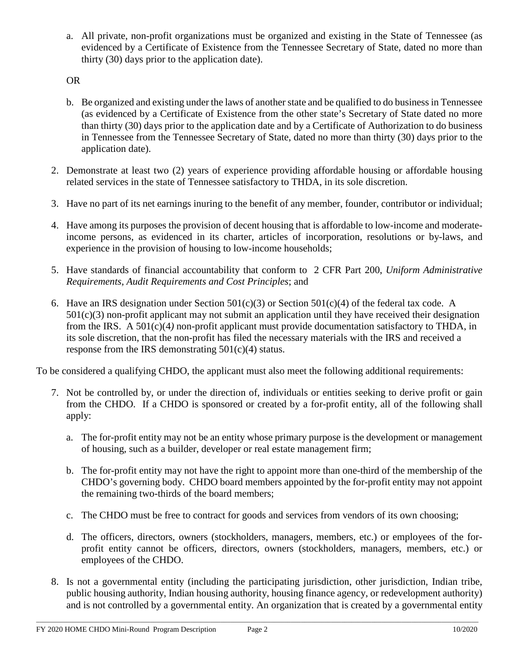a. All private, non-profit organizations must be organized and existing in the State of Tennessee (as evidenced by a Certificate of Existence from the Tennessee Secretary of State, dated no more than thirty (30) days prior to the application date).

OR

- b. Be organized and existing under the laws of another state and be qualified to do business in Tennessee (as evidenced by a Certificate of Existence from the other state's Secretary of State dated no more than thirty (30) days prior to the application date and by a Certificate of Authorization to do business in Tennessee from the Tennessee Secretary of State, dated no more than thirty (30) days prior to the application date).
- 2. Demonstrate at least two (2) years of experience providing affordable housing or affordable housing related services in the state of Tennessee satisfactory to THDA, in its sole discretion.
- 3. Have no part of its net earnings inuring to the benefit of any member, founder, contributor or individual;
- 4. Have among its purposes the provision of decent housing that is affordable to low-income and moderateincome persons, as evidenced in its charter, articles of incorporation, resolutions or by-laws, and experience in the provision of housing to low-income households;
- 5. Have standards of financial accountability that conform to 2 CFR Part 200, *Uniform Administrative Requirements, Audit Requirements and Cost Principles*; and
- 6. Have an IRS designation under Section  $501(c)(3)$  or Section  $501(c)(4)$  of the federal tax code. A 501(c)(3) non-profit applicant may not submit an application until they have received their designation from the IRS. A 501(c)(4*)* non-profit applicant must provide documentation satisfactory to THDA, in its sole discretion, that the non-profit has filed the necessary materials with the IRS and received a response from the IRS demonstrating  $501(c)(4)$  status.

To be considered a qualifying CHDO, the applicant must also meet the following additional requirements:

- 7. Not be controlled by, or under the direction of, individuals or entities seeking to derive profit or gain from the CHDO. If a CHDO is sponsored or created by a for-profit entity, all of the following shall apply:
	- a. The for-profit entity may not be an entity whose primary purpose is the development or management of housing, such as a builder, developer or real estate management firm;
	- b. The for-profit entity may not have the right to appoint more than one-third of the membership of the CHDO's governing body. CHDO board members appointed by the for-profit entity may not appoint the remaining two-thirds of the board members;
	- c. The CHDO must be free to contract for goods and services from vendors of its own choosing;
	- d. The officers, directors, owners (stockholders, managers, members, etc.) or employees of the forprofit entity cannot be officers, directors, owners (stockholders, managers, members, etc.) or employees of the CHDO.
- 8. Is not a governmental entity (including the participating jurisdiction, other jurisdiction, Indian tribe, public housing authority, Indian housing authority, housing finance agency, or redevelopment authority) and is not controlled by a governmental entity. An organization that is created by a governmental entity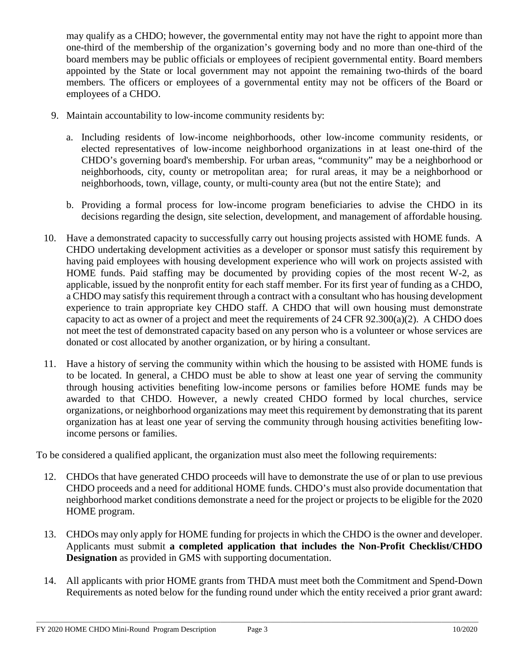may qualify as a CHDO; however, the governmental entity may not have the right to appoint more than one-third of the membership of the organization's governing body and no more than one-third of the board members may be public officials or employees of recipient governmental entity. Board members appointed by the State or local government may not appoint the remaining two-thirds of the board members*.* The officers or employees of a governmental entity may not be officers of the Board or employees of a CHDO.

- 9. Maintain accountability to low-income community residents by:
	- a. Including residents of low-income neighborhoods, other low-income community residents, or elected representatives of low-income neighborhood organizations in at least one-third of the CHDO's governing board's membership. For urban areas, "community" may be a neighborhood or neighborhoods, city, county or metropolitan area; for rural areas, it may be a neighborhood or neighborhoods, town, village, county, or multi-county area (but not the entire State); and
	- b. Providing a formal process for low-income program beneficiaries to advise the CHDO in its decisions regarding the design, site selection, development, and management of affordable housing.
- 10. Have a demonstrated capacity to successfully carry out housing projects assisted with HOME funds. A CHDO undertaking development activities as a developer or sponsor must satisfy this requirement by having paid employees with housing development experience who will work on projects assisted with HOME funds. Paid staffing may be documented by providing copies of the most recent W-2, as applicable, issued by the nonprofit entity for each staff member. For its first year of funding as a CHDO, a CHDO may satisfy this requirement through a contract with a consultant who has housing development experience to train appropriate key CHDO staff. A CHDO that will own housing must demonstrate capacity to act as owner of a project and meet the requirements of 24 CFR  $92.300(a)(2)$ . A CHDO does not meet the test of demonstrated capacity based on any person who is a volunteer or whose services are donated or cost allocated by another organization, or by hiring a consultant.
- 11. Have a history of serving the community within which the housing to be assisted with HOME funds is to be located. In general, a CHDO must be able to show at least one year of serving the community through housing activities benefiting low-income persons or families before HOME funds may be awarded to that CHDO. However, a newly created CHDO formed by local churches, service organizations, or neighborhood organizations may meet this requirement by demonstrating that its parent organization has at least one year of serving the community through housing activities benefiting lowincome persons or families.

To be considered a qualified applicant, the organization must also meet the following requirements:

- 12. CHDOs that have generated CHDO proceeds will have to demonstrate the use of or plan to use previous CHDO proceeds and a need for additional HOME funds. CHDO's must also provide documentation that neighborhood market conditions demonstrate a need for the project or projects to be eligible for the 2020 HOME program.
- 13. CHDOs may only apply for HOME funding for projects in which the CHDO is the owner and developer. Applicants must submit **a completed application that includes the Non-Profit Checklist/CHDO Designation** as provided in GMS with supporting documentation.
- 14. All applicants with prior HOME grants from THDA must meet both the Commitment and Spend-Down Requirements as noted below for the funding round under which the entity received a prior grant award: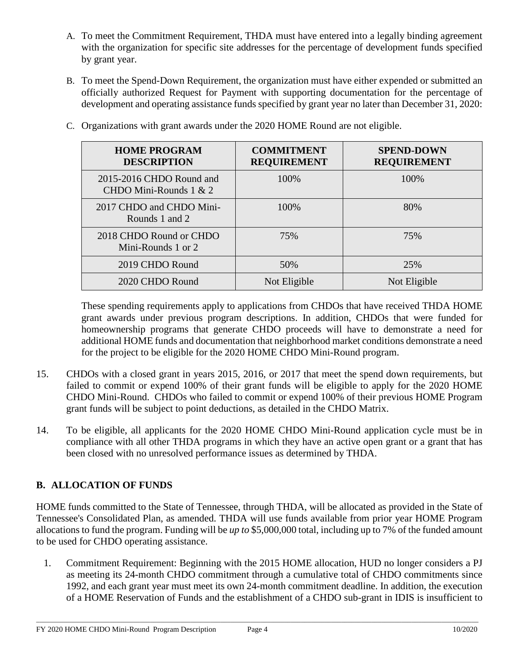- A. To meet the Commitment Requirement, THDA must have entered into a legally binding agreement with the organization for specific site addresses for the percentage of development funds specified by grant year.
- B. To meet the Spend-Down Requirement, the organization must have either expended or submitted an officially authorized Request for Payment with supporting documentation for the percentage of development and operating assistance funds specified by grant year no later than December 31, 2020:

| <b>HOME PROGRAM</b><br><b>DESCRIPTION</b>            | <b>COMMITMENT</b><br><b>REQUIREMENT</b> | <b>SPEND-DOWN</b><br><b>REQUIREMENT</b> |
|------------------------------------------------------|-----------------------------------------|-----------------------------------------|
| 2015-2016 CHDO Round and<br>CHDO Mini-Rounds $1 & 2$ | 100\%                                   | 100\%                                   |
| 2017 CHDO and CHDO Mini-<br>Rounds 1 and 2           | 100%                                    | 80%                                     |
| 2018 CHDO Round or CHDO<br>Mini-Rounds 1 or 2        | 75%                                     | 75%                                     |
| 2019 CHDO Round                                      | 50%                                     | 25%                                     |
| 2020 CHDO Round                                      | Not Eligible                            | Not Eligible                            |

C. Organizations with grant awards under the 2020 HOME Round are not eligible.

These spending requirements apply to applications from CHDOs that have received THDA HOME grant awards under previous program descriptions. In addition, CHDOs that were funded for homeownership programs that generate CHDO proceeds will have to demonstrate a need for additional HOME funds and documentation that neighborhood market conditions demonstrate a need for the project to be eligible for the 2020 HOME CHDO Mini-Round program.

- 15. CHDOs with a closed grant in years 2015, 2016, or 2017 that meet the spend down requirements, but failed to commit or expend 100% of their grant funds will be eligible to apply for the 2020 HOME CHDO Mini-Round. CHDOs who failed to commit or expend 100% of their previous HOME Program grant funds will be subject to point deductions, as detailed in the CHDO Matrix.
- 14. To be eligible, all applicants for the 2020 HOME CHDO Mini-Round application cycle must be in compliance with all other THDA programs in which they have an active open grant or a grant that has been closed with no unresolved performance issues as determined by THDA.

# **B. ALLOCATION OF FUNDS**

HOME funds committed to the State of Tennessee, through THDA, will be allocated as provided in the State of Tennessee's Consolidated Plan, as amended. THDA will use funds available from prior year HOME Program allocations to fund the program. Funding will be *up to* \$5,000,000 total, including up to 7% of the funded amount to be used for CHDO operating assistance.

1. Commitment Requirement: Beginning with the 2015 HOME allocation, HUD no longer considers a PJ as meeting its 24-month CHDO commitment through a cumulative total of CHDO commitments since 1992, and each grant year must meet its own 24-month commitment deadline. In addition, the execution of a HOME Reservation of Funds and the establishment of a CHDO sub-grant in IDIS is insufficient to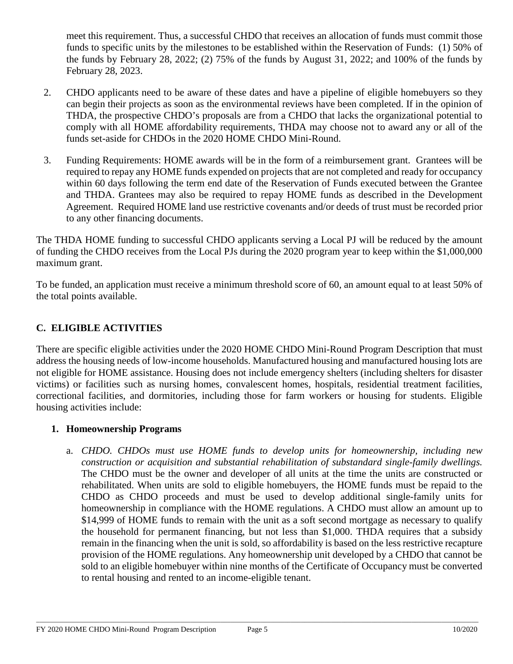meet this requirement. Thus, a successful CHDO that receives an allocation of funds must commit those funds to specific units by the milestones to be established within the Reservation of Funds: (1) 50% of the funds by February 28, 2022; (2) 75% of the funds by August 31, 2022; and 100% of the funds by February 28, 2023.

- 2. CHDO applicants need to be aware of these dates and have a pipeline of eligible homebuyers so they can begin their projects as soon as the environmental reviews have been completed. If in the opinion of THDA, the prospective CHDO's proposals are from a CHDO that lacks the organizational potential to comply with all HOME affordability requirements, THDA may choose not to award any or all of the funds set-aside for CHDOs in the 2020 HOME CHDO Mini-Round.
- 3. Funding Requirements: HOME awards will be in the form of a reimbursement grant. Grantees will be required to repay any HOME funds expended on projects that are not completed and ready for occupancy within 60 days following the term end date of the Reservation of Funds executed between the Grantee and THDA. Grantees may also be required to repay HOME funds as described in the Development Agreement. Required HOME land use restrictive covenants and/or deeds of trust must be recorded prior to any other financing documents.

The THDA HOME funding to successful CHDO applicants serving a Local PJ will be reduced by the amount of funding the CHDO receives from the Local PJs during the 2020 program year to keep within the \$1,000,000 maximum grant.

To be funded, an application must receive a minimum threshold score of 60, an amount equal to at least 50% of the total points available.

## **C. ELIGIBLE ACTIVITIES**

There are specific eligible activities under the 2020 HOME CHDO Mini-Round Program Description that must address the housing needs of low-income households. Manufactured housing and manufactured housing lots are not eligible for HOME assistance. Housing does not include emergency shelters (including shelters for disaster victims) or facilities such as nursing homes, convalescent homes, hospitals, residential treatment facilities, correctional facilities, and dormitories, including those for farm workers or housing for students. Eligible housing activities include:

## **1. Homeownership Programs**

a. *CHDO. CHDOs must use HOME funds to develop units for homeownership, including new construction or acquisition and substantial rehabilitation of substandard single-family dwellings.* The CHDO must be the owner and developer of all units at the time the units are constructed or rehabilitated. When units are sold to eligible homebuyers, the HOME funds must be repaid to the CHDO as CHDO proceeds and must be used to develop additional single-family units for homeownership in compliance with the HOME regulations. A CHDO must allow an amount up to \$14,999 of HOME funds to remain with the unit as a soft second mortgage as necessary to qualify the household for permanent financing, but not less than \$1,000. THDA requires that a subsidy remain in the financing when the unit is sold, so affordability is based on the less restrictive recapture provision of the HOME regulations. Any homeownership unit developed by a CHDO that cannot be sold to an eligible homebuyer within nine months of the Certificate of Occupancy must be converted to rental housing and rented to an income-eligible tenant.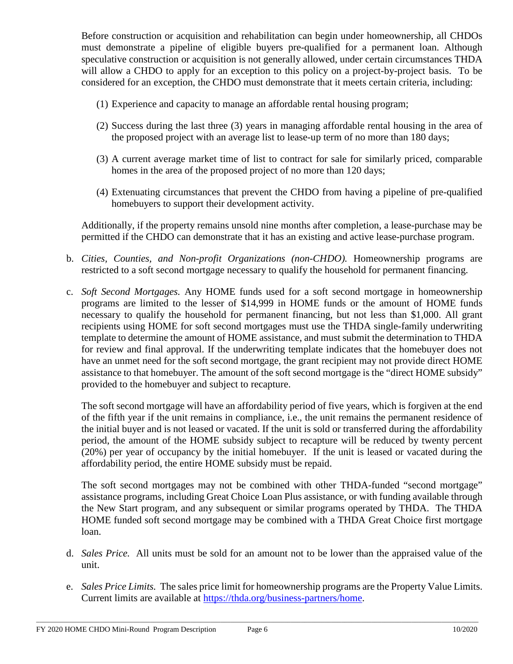Before construction or acquisition and rehabilitation can begin under homeownership, all CHDOs must demonstrate a pipeline of eligible buyers pre-qualified for a permanent loan. Although speculative construction or acquisition is not generally allowed, under certain circumstances THDA will allow a CHDO to apply for an exception to this policy on a project-by-project basis. To be considered for an exception, the CHDO must demonstrate that it meets certain criteria, including:

- (1) Experience and capacity to manage an affordable rental housing program;
- (2) Success during the last three (3) years in managing affordable rental housing in the area of the proposed project with an average list to lease-up term of no more than 180 days;
- (3) A current average market time of list to contract for sale for similarly priced, comparable homes in the area of the proposed project of no more than 120 days;
- (4) Extenuating circumstances that prevent the CHDO from having a pipeline of pre-qualified homebuyers to support their development activity.

Additionally, if the property remains unsold nine months after completion, a lease-purchase may be permitted if the CHDO can demonstrate that it has an existing and active lease-purchase program.

- b. *Cities, Counties, and Non-profit Organizations (non-CHDO).* Homeownership programs are restricted to a soft second mortgage necessary to qualify the household for permanent financing.
- c. *Soft Second Mortgages.* Any HOME funds used for a soft second mortgage in homeownership programs are limited to the lesser of \$14,999 in HOME funds or the amount of HOME funds necessary to qualify the household for permanent financing, but not less than \$1,000. All grant recipients using HOME for soft second mortgages must use the THDA single-family underwriting template to determine the amount of HOME assistance, and must submit the determination to THDA for review and final approval. If the underwriting template indicates that the homebuyer does not have an unmet need for the soft second mortgage, the grant recipient may not provide direct HOME assistance to that homebuyer. The amount of the soft second mortgage is the "direct HOME subsidy" provided to the homebuyer and subject to recapture.

The soft second mortgage will have an affordability period of five years, which is forgiven at the end of the fifth year if the unit remains in compliance, i.e., the unit remains the permanent residence of the initial buyer and is not leased or vacated. If the unit is sold or transferred during the affordability period, the amount of the HOME subsidy subject to recapture will be reduced by twenty percent (20%) per year of occupancy by the initial homebuyer. If the unit is leased or vacated during the affordability period, the entire HOME subsidy must be repaid.

The soft second mortgages may not be combined with other THDA-funded "second mortgage" assistance programs, including Great Choice Loan Plus assistance, or with funding available through the New Start program, and any subsequent or similar programs operated by THDA. The THDA HOME funded soft second mortgage may be combined with a THDA Great Choice first mortgage loan.

- d. *Sales Price.* All units must be sold for an amount not to be lower than the appraised value of the unit.
- e. *Sales Price Limits.* The sales price limit for homeownership programs are the Property Value Limits. Current limits are available at [https://thda.org/business-partners/home.](https://thda.org/business-partners/home)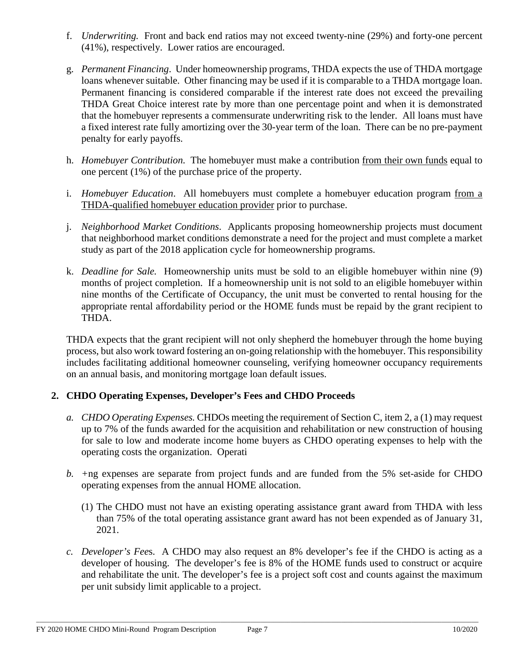- f. *Underwriting.* Front and back end ratios may not exceed twenty-nine (29%) and forty-one percent (41%), respectively. Lower ratios are encouraged.
- g. *Permanent Financing*. Under homeownership programs, THDA expects the use of THDA mortgage loans whenever suitable. Other financing may be used if it is comparable to a THDA mortgage loan. Permanent financing is considered comparable if the interest rate does not exceed the prevailing THDA Great Choice interest rate by more than one percentage point and when it is demonstrated that the homebuyer represents a commensurate underwriting risk to the lender. All loans must have a fixed interest rate fully amortizing over the 30-year term of the loan. There can be no pre-payment penalty for early payoffs.
- h. *Homebuyer Contribution*. The homebuyer must make a contribution from their own funds equal to one percent (1%) of the purchase price of the property.
- i. *Homebuyer Education*. All homebuyers must complete a homebuyer education program from a THDA-qualified homebuyer education provider prior to purchase.
- j. *Neighborhood Market Conditions*. Applicants proposing homeownership projects must document that neighborhood market conditions demonstrate a need for the project and must complete a market study as part of the 2018 application cycle for homeownership programs.
- k. *Deadline for Sale.* Homeownership units must be sold to an eligible homebuyer within nine (9) months of project completion. If a homeownership unit is not sold to an eligible homebuyer within nine months of the Certificate of Occupancy, the unit must be converted to rental housing for the appropriate rental affordability period or the HOME funds must be repaid by the grant recipient to THDA.

THDA expects that the grant recipient will not only shepherd the homebuyer through the home buying process, but also work toward fostering an on-going relationship with the homebuyer. This responsibility includes facilitating additional homeowner counseling, verifying homeowner occupancy requirements on an annual basis, and monitoring mortgage loan default issues.

## **2. CHDO Operating Expenses, Developer's Fees and CHDO Proceeds**

- *a. CHDO Operating Expenses.* CHDOs meeting the requirement of Section C, item 2, a (1) may request up to 7% of the funds awarded for the acquisition and rehabilitation or new construction of housing for sale to low and moderate income home buyers as CHDO operating expenses to help with the operating costs the organization. Operati
- *b. +*ng expenses are separate from project funds and are funded from the 5% set-aside for CHDO operating expenses from the annual HOME allocation.
	- (1) The CHDO must not have an existing operating assistance grant award from THDA with less than 75% of the total operating assistance grant award has not been expended as of January 31, 2021.
- *c. Developer's Fee*s. A CHDO may also request an 8% developer's fee if the CHDO is acting as a developer of housing. The developer's fee is 8% of the HOME funds used to construct or acquire and rehabilitate the unit. The developer's fee is a project soft cost and counts against the maximum per unit subsidy limit applicable to a project.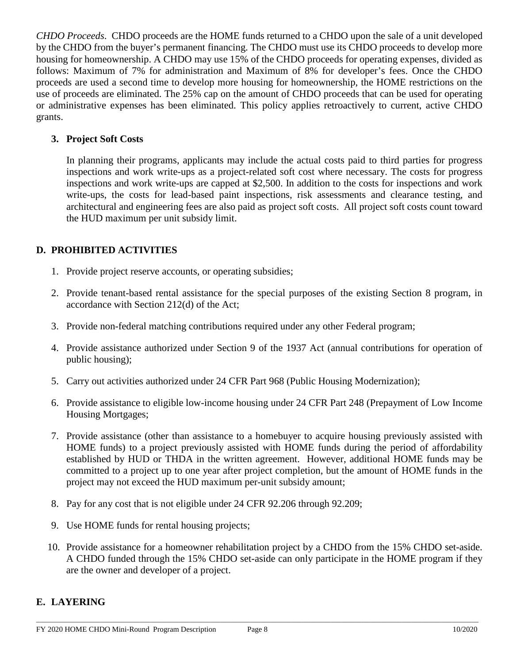*CHDO Proceeds*. CHDO proceeds are the HOME funds returned to a CHDO upon the sale of a unit developed by the CHDO from the buyer's permanent financing. The CHDO must use its CHDO proceeds to develop more housing for homeownership. A CHDO may use 15% of the CHDO proceeds for operating expenses, divided as follows: Maximum of 7% for administration and Maximum of 8% for developer's fees. Once the CHDO proceeds are used a second time to develop more housing for homeownership, the HOME restrictions on the use of proceeds are eliminated. The 25% cap on the amount of CHDO proceeds that can be used for operating or administrative expenses has been eliminated. This policy applies retroactively to current, active CHDO grants.

### **3. Project Soft Costs**

In planning their programs, applicants may include the actual costs paid to third parties for progress inspections and work write-ups as a project-related soft cost where necessary. The costs for progress inspections and work write-ups are capped at \$2,500. In addition to the costs for inspections and work write-ups, the costs for lead-based paint inspections, risk assessments and clearance testing, and architectural and engineering fees are also paid as project soft costs. All project soft costs count toward the HUD maximum per unit subsidy limit.

### **D. PROHIBITED ACTIVITIES**

- 1. Provide project reserve accounts, or operating subsidies;
- 2. Provide tenant-based rental assistance for the special purposes of the existing Section 8 program, in accordance with Section 212(d) of the Act;
- 3. Provide non-federal matching contributions required under any other Federal program;
- 4. Provide assistance authorized under Section 9 of the 1937 Act (annual contributions for operation of public housing);
- 5. Carry out activities authorized under 24 CFR Part 968 (Public Housing Modernization);
- 6. Provide assistance to eligible low-income housing under 24 CFR Part 248 (Prepayment of Low Income Housing Mortgages;
- 7. Provide assistance (other than assistance to a homebuyer to acquire housing previously assisted with HOME funds) to a project previously assisted with HOME funds during the period of affordability established by HUD or THDA in the written agreement. However, additional HOME funds may be committed to a project up to one year after project completion, but the amount of HOME funds in the project may not exceed the HUD maximum per-unit subsidy amount;
- 8. Pay for any cost that is not eligible under 24 CFR 92.206 through 92.209;
- 9. Use HOME funds for rental housing projects;
- 10. Provide assistance for a homeowner rehabilitation project by a CHDO from the 15% CHDO set-aside. A CHDO funded through the 15% CHDO set-aside can only participate in the HOME program if they are the owner and developer of a project.

#### **E. LAYERING**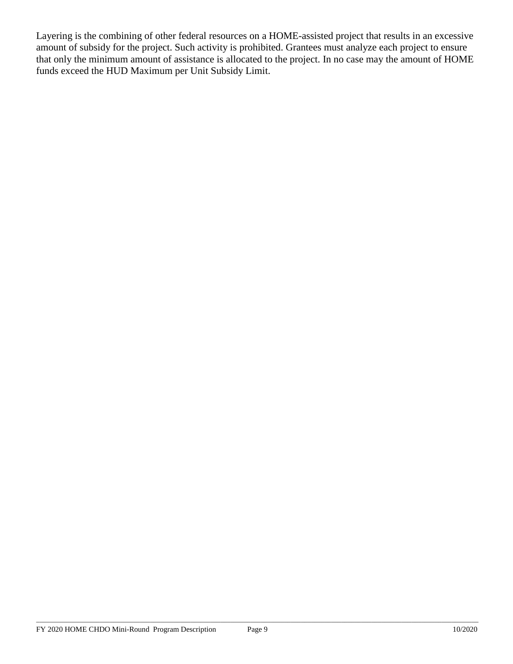Layering is the combining of other federal resources on a HOME-assisted project that results in an excessive amount of subsidy for the project. Such activity is prohibited. Grantees must analyze each project to ensure that only the minimum amount of assistance is allocated to the project. In no case may the amount of HOME funds exceed the HUD Maximum per Unit Subsidy Limit.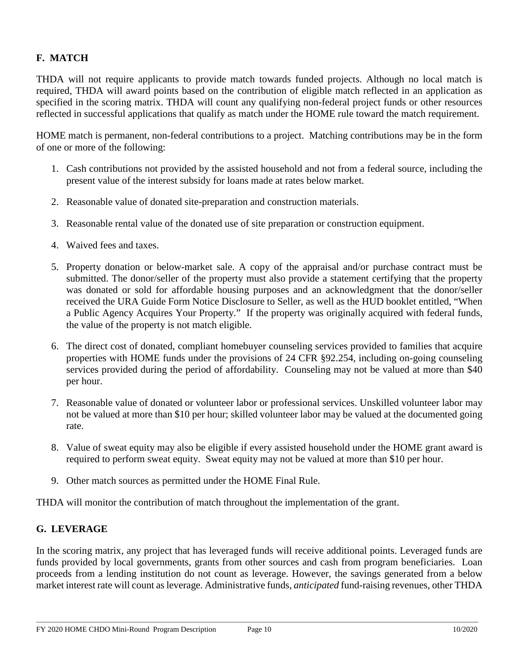# **F. MATCH**

THDA will not require applicants to provide match towards funded projects. Although no local match is required, THDA will award points based on the contribution of eligible match reflected in an application as specified in the scoring matrix. THDA will count any qualifying non-federal project funds or other resources reflected in successful applications that qualify as match under the HOME rule toward the match requirement.

HOME match is permanent, non-federal contributions to a project. Matching contributions may be in the form of one or more of the following:

- 1. Cash contributions not provided by the assisted household and not from a federal source, including the present value of the interest subsidy for loans made at rates below market.
- 2. Reasonable value of donated site-preparation and construction materials.
- 3. Reasonable rental value of the donated use of site preparation or construction equipment.
- 4. Waived fees and taxes.
- 5. Property donation or below-market sale. A copy of the appraisal and/or purchase contract must be submitted. The donor/seller of the property must also provide a statement certifying that the property was donated or sold for affordable housing purposes and an acknowledgment that the donor/seller received the URA Guide Form Notice Disclosure to Seller, as well as the HUD booklet entitled, "When a Public Agency Acquires Your Property." If the property was originally acquired with federal funds, the value of the property is not match eligible.
- 6. The direct cost of donated, compliant homebuyer counseling services provided to families that acquire properties with HOME funds under the provisions of 24 CFR §92.254, including on-going counseling services provided during the period of affordability. Counseling may not be valued at more than \$40 per hour.
- 7. Reasonable value of donated or volunteer labor or professional services. Unskilled volunteer labor may not be valued at more than \$10 per hour; skilled volunteer labor may be valued at the documented going rate.
- 8. Value of sweat equity may also be eligible if every assisted household under the HOME grant award is required to perform sweat equity. Sweat equity may not be valued at more than \$10 per hour.
- 9. Other match sources as permitted under the HOME Final Rule.

THDA will monitor the contribution of match throughout the implementation of the grant.

#### **G. LEVERAGE**

In the scoring matrix, any project that has leveraged funds will receive additional points. Leveraged funds are funds provided by local governments, grants from other sources and cash from program beneficiaries. Loan proceeds from a lending institution do not count as leverage. However, the savings generated from a below market interest rate will count as leverage. Administrative funds, *anticipated* fund-raising revenues, other THDA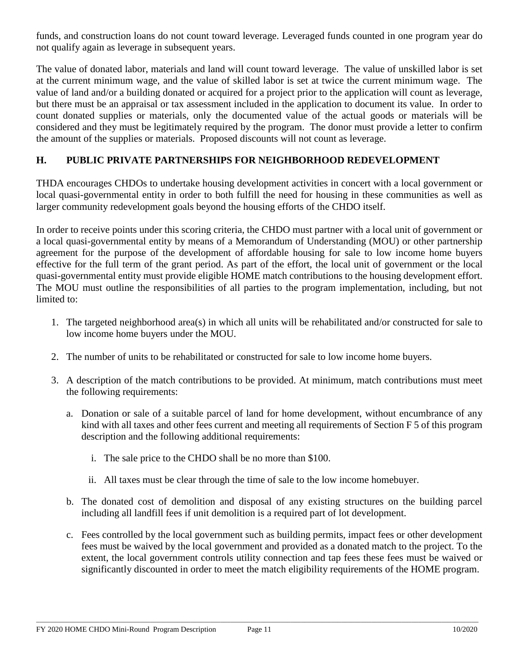funds, and construction loans do not count toward leverage. Leveraged funds counted in one program year do not qualify again as leverage in subsequent years.

The value of donated labor, materials and land will count toward leverage. The value of unskilled labor is set at the current minimum wage, and the value of skilled labor is set at twice the current minimum wage. The value of land and/or a building donated or acquired for a project prior to the application will count as leverage, but there must be an appraisal or tax assessment included in the application to document its value. In order to count donated supplies or materials, only the documented value of the actual goods or materials will be considered and they must be legitimately required by the program. The donor must provide a letter to confirm the amount of the supplies or materials. Proposed discounts will not count as leverage.

## **H. PUBLIC PRIVATE PARTNERSHIPS FOR NEIGHBORHOOD REDEVELOPMENT**

THDA encourages CHDOs to undertake housing development activities in concert with a local government or local quasi-governmental entity in order to both fulfill the need for housing in these communities as well as larger community redevelopment goals beyond the housing efforts of the CHDO itself.

In order to receive points under this scoring criteria, the CHDO must partner with a local unit of government or a local quasi-governmental entity by means of a Memorandum of Understanding (MOU) or other partnership agreement for the purpose of the development of affordable housing for sale to low income home buyers effective for the full term of the grant period. As part of the effort, the local unit of government or the local quasi-governmental entity must provide eligible HOME match contributions to the housing development effort. The MOU must outline the responsibilities of all parties to the program implementation, including, but not limited to:

- 1. The targeted neighborhood area(s) in which all units will be rehabilitated and/or constructed for sale to low income home buyers under the MOU.
- 2. The number of units to be rehabilitated or constructed for sale to low income home buyers.
- 3. A description of the match contributions to be provided. At minimum, match contributions must meet the following requirements:
	- a. Donation or sale of a suitable parcel of land for home development, without encumbrance of any kind with all taxes and other fees current and meeting all requirements of Section F 5 of this program description and the following additional requirements:
		- i. The sale price to the CHDO shall be no more than \$100.
		- ii. All taxes must be clear through the time of sale to the low income homebuyer.
	- b. The donated cost of demolition and disposal of any existing structures on the building parcel including all landfill fees if unit demolition is a required part of lot development.
	- c. Fees controlled by the local government such as building permits, impact fees or other development fees must be waived by the local government and provided as a donated match to the project. To the extent, the local government controls utility connection and tap fees these fees must be waived or significantly discounted in order to meet the match eligibility requirements of the HOME program.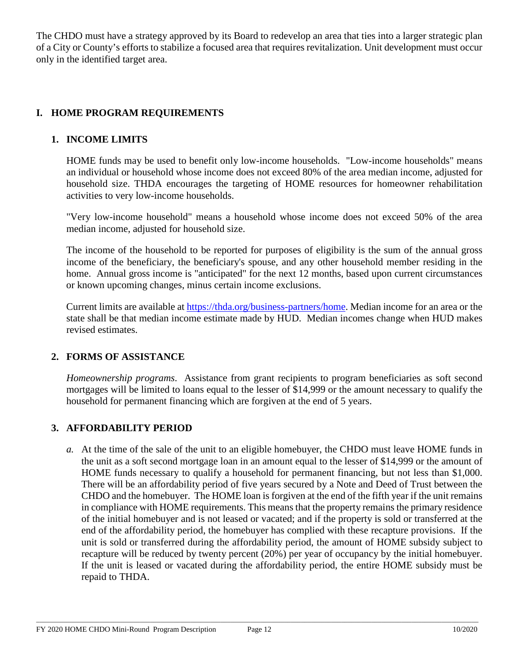The CHDO must have a strategy approved by its Board to redevelop an area that ties into a larger strategic plan of a City or County's efforts to stabilize a focused area that requires revitalization. Unit development must occur only in the identified target area.

## **I. HOME PROGRAM REQUIREMENTS**

### **1. INCOME LIMITS**

HOME funds may be used to benefit only low-income households. "Low-income households" means an individual or household whose income does not exceed 80% of the area median income, adjusted for household size. THDA encourages the targeting of HOME resources for homeowner rehabilitation activities to very low-income households.

"Very low-income household" means a household whose income does not exceed 50% of the area median income, adjusted for household size.

The income of the household to be reported for purposes of eligibility is the sum of the annual gross income of the beneficiary, the beneficiary's spouse, and any other household member residing in the home. Annual gross income is "anticipated" for the next 12 months, based upon current circumstances or known upcoming changes, minus certain income exclusions.

Current limits are available at [https://thda.org/business-partners/home.](https://thda.org/business-partners/home) Median income for an area or the state shall be that median income estimate made by HUD. Median incomes change when HUD makes revised estimates.

#### **2. FORMS OF ASSISTANCE**

*Homeownership programs*. Assistance from grant recipients to program beneficiaries as soft second mortgages will be limited to loans equal to the lesser of \$14,999 or the amount necessary to qualify the household for permanent financing which are forgiven at the end of 5 years.

#### **3. AFFORDABILITY PERIOD**

*a.* At the time of the sale of the unit to an eligible homebuyer, the CHDO must leave HOME funds in the unit as a soft second mortgage loan in an amount equal to the lesser of \$14,999 or the amount of HOME funds necessary to qualify a household for permanent financing, but not less than \$1,000. There will be an affordability period of five years secured by a Note and Deed of Trust between the CHDO and the homebuyer. The HOME loan is forgiven at the end of the fifth year if the unit remains in compliance with HOME requirements. This means that the property remains the primary residence of the initial homebuyer and is not leased or vacated; and if the property is sold or transferred at the end of the affordability period, the homebuyer has complied with these recapture provisions. If the unit is sold or transferred during the affordability period, the amount of HOME subsidy subject to recapture will be reduced by twenty percent (20%) per year of occupancy by the initial homebuyer. If the unit is leased or vacated during the affordability period, the entire HOME subsidy must be repaid to THDA.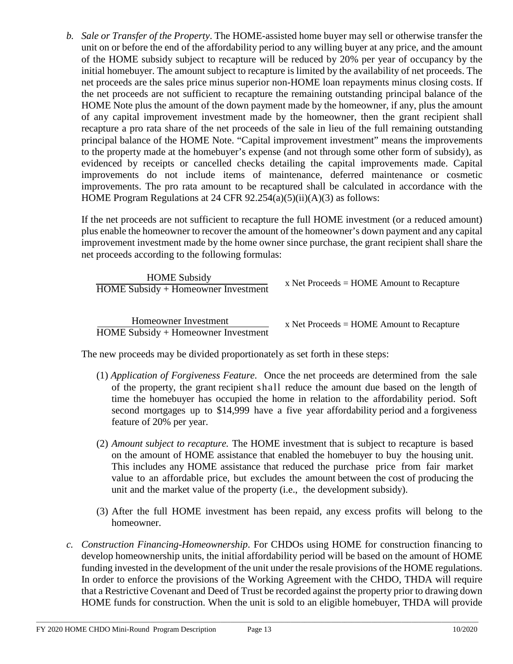*b. Sale or Transfer of the Property*. The HOME-assisted home buyer may sell or otherwise transfer the unit on or before the end of the affordability period to any willing buyer at any price, and the amount of the HOME subsidy subject to recapture will be reduced by 20% per year of occupancy by the initial homebuyer. The amount subject to recapture is limited by the availability of net proceeds. The net proceeds are the sales price minus superior non-HOME loan repayments minus closing costs. If the net proceeds are not sufficient to recapture the remaining outstanding principal balance of the HOME Note plus the amount of the down payment made by the homeowner, if any, plus the amount of any capital improvement investment made by the homeowner, then the grant recipient shall recapture a pro rata share of the net proceeds of the sale in lieu of the full remaining outstanding principal balance of the HOME Note. "Capital improvement investment" means the improvements to the property made at the homebuyer's expense (and not through some other form of subsidy), as evidenced by receipts or cancelled checks detailing the capital improvements made. Capital improvements do not include items of maintenance, deferred maintenance or cosmetic improvements. The pro rata amount to be recaptured shall be calculated in accordance with the HOME Program Regulations at 24 CFR 92.254(a)(5)(ii)(A)(3) as follows:

If the net proceeds are not sufficient to recapture the full HOME investment (or a reduced amount) plus enable the homeowner to recover the amount of the homeowner's down payment and any capital improvement investment made by the home owner since purchase, the grant recipient shall share the net proceeds according to the following formulas:

| <b>HOME</b> Subsidy<br>$HOME$ Subsidy + Homeowner Investment | x Net Proceeds $=$ HOME Amount to Recapture |
|--------------------------------------------------------------|---------------------------------------------|
| Homeowner Investment                                         | x Net Proceeds $=$ HOME Amount to Recapture |

HOME Subsidy + Homeowner Investment

x Net Proceeds = HOME Amount to Recapture

The new proceeds may be divided proportionately as set forth in these steps:

- (1) *Application of Forgiveness Feature*. Once the net proceeds are determined from the sale of the property, the grant recipient shall reduce the amount due based on the length of time the homebuyer has occupied the home in relation to the affordability period. Soft second mortgages up to \$14,999 have a five year affordability period and a forgiveness feature of 20% per year.
- (2) *Amount subject to recapture.* The HOME investment that is subject to recapture is based on the amount of HOME assistance that enabled the homebuyer to buy the housing unit. This includes any HOME assistance that reduced the purchase price from fair market value to an affordable price, but excludes the amount between the cost of producing the unit and the market value of the property (i.e., the development subsidy).
- (3) After the full HOME investment has been repaid, any excess profits will belong to the homeowner.
- *c. Construction Financing-Homeownership*. For CHDOs using HOME for construction financing to develop homeownership units, the initial affordability period will be based on the amount of HOME funding invested in the development of the unit under the resale provisions of the HOME regulations. In order to enforce the provisions of the Working Agreement with the CHDO, THDA will require that a Restrictive Covenant and Deed of Trust be recorded against the property prior to drawing down HOME funds for construction. When the unit is sold to an eligible homebuyer, THDA will provide

\_\_\_\_\_\_\_\_\_\_\_\_\_\_\_\_\_\_\_\_\_\_\_\_\_\_\_\_\_\_\_\_\_\_\_\_\_\_\_\_\_\_\_\_\_\_\_\_\_\_\_\_\_\_\_\_\_\_\_\_\_\_\_\_\_\_\_\_\_\_\_\_\_\_\_\_\_\_\_\_\_\_\_\_\_\_\_\_\_\_\_\_\_\_\_\_\_\_\_\_\_\_\_\_\_\_\_\_\_\_\_\_\_\_\_\_\_\_\_\_\_\_\_\_\_\_\_\_\_\_\_\_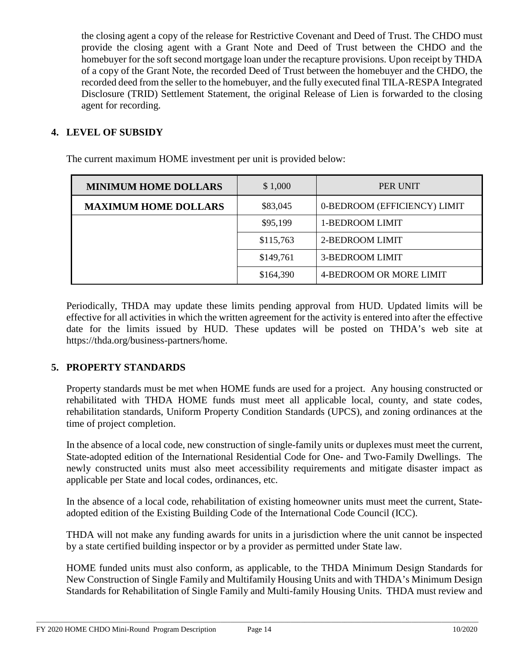the closing agent a copy of the release for Restrictive Covenant and Deed of Trust. The CHDO must provide the closing agent with a Grant Note and Deed of Trust between the CHDO and the homebuyer for the soft second mortgage loan under the recapture provisions. Upon receipt by THDA of a copy of the Grant Note, the recorded Deed of Trust between the homebuyer and the CHDO, the recorded deed from the seller to the homebuyer, and the fully executed final TILA-RESPA Integrated Disclosure (TRID) Settlement Statement, the original Release of Lien is forwarded to the closing agent for recording.

## **4. LEVEL OF SUBSIDY**

| <b>MINIMUM HOME DOLLARS</b> | \$1,000   | <b>PER UNIT</b>              |
|-----------------------------|-----------|------------------------------|
| <b>MAXIMUM HOME DOLLARS</b> | \$83,045  | 0-BEDROOM (EFFICIENCY) LIMIT |
|                             | \$95,199  | 1-BEDROOM LIMIT              |
|                             | \$115,763 | 2-BEDROOM LIMIT              |
|                             | \$149,761 | <b>3-BEDROOM LIMIT</b>       |
|                             | \$164,390 | 4-BEDROOM OR MORE LIMIT      |

The current maximum HOME investment per unit is provided below:

Periodically, THDA may update these limits pending approval from HUD. Updated limits will be effective for all activities in which the written agreement for the activity is entered into after the effective date for the limits issued by HUD. These updates will be posted on THDA's web site [at](http://www.thda.org/) https://thda.org/business-partners/home.

#### **5. PROPERTY STANDARDS**

Property standards must be met when HOME funds are used for a project. Any housing constructed or rehabilitated with THDA HOME funds must meet all applicable local, county, and state codes, rehabilitation standards, Uniform Property Condition Standards (UPCS), and zoning ordinances at the time of project completion.

In the absence of a local code, new construction of single-family units or duplexes must meet the current, State-adopted edition of the International Residential Code for One- and Two-Family Dwellings. The newly constructed units must also meet accessibility requirements and mitigate disaster impact as applicable per State and local codes, ordinances, etc.

In the absence of a local code, rehabilitation of existing homeowner units must meet the current, Stateadopted edition of the Existing Building Code of the International Code Council (ICC).

THDA will not make any funding awards for units in a jurisdiction where the unit cannot be inspected by a state certified building inspector or by a provider as permitted under State law.

HOME funded units must also conform, as applicable, to the THDA Minimum Design Standards for New Construction of Single Family and Multifamily Housing Units and with THDA's Minimum Design Standards for Rehabilitation of Single Family and Multi-family Housing Units. THDA must review and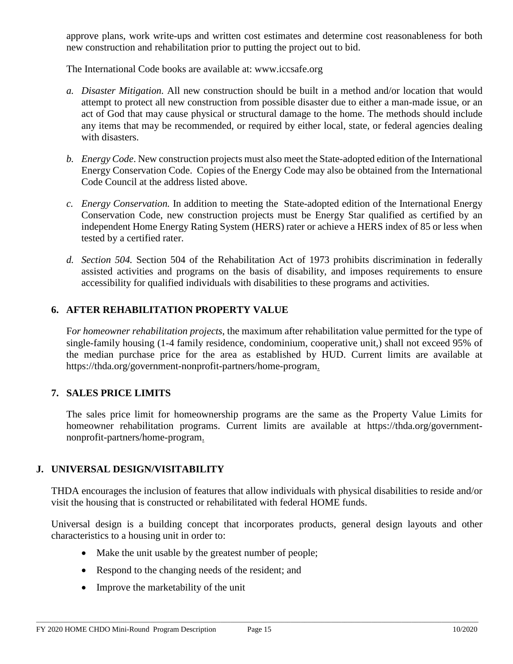approve plans, work write-ups and written cost estimates and determine cost reasonableness for both new construction and rehabilitation prior to putting the project out to bid.

The International Code books are available at: www.iccsafe.org

- *a. Disaster Mitigation.* All new construction should be built in a method and/or location that would attempt to protect all new construction from possible disaster due to either a man-made issue, or an act of God that may cause physical or structural damage to the home. The methods should include any items that may be recommended, or required by either local, state, or federal agencies dealing with disasters.
- *b. Energy Code*. New construction projects must also meet the State-adopted edition of the International Energy Conservation Code. Copies of the Energy Code may also be obtained from the International Code Council at the address listed above.
- *c. Energy Conservation.* In addition to meeting the State-adopted edition of the International Energy Conservation Code, new construction projects must be Energy Star qualified as certified by an independent Home Energy Rating System (HERS) rater or achieve a HERS index of 85 or less when tested by a certified rater.
- *d. Section 504.* Section 504 of the Rehabilitation Act of 1973 prohibits discrimination in federally assisted activities and programs on the basis of disability, and imposes requirements to ensure accessibility for qualified individuals with disabilities to these programs and activities.

#### **6. AFTER REHABILITATION PROPERTY VALUE**

F*or homeowner rehabilitation projects*, the maximum after rehabilitation value permitted for the type of single-family housing (1-4 family residence, condominium, cooperative unit,) shall not exceed 95% of the median purchase price for the area as established by HUD. Current limits are available at https://thda.org/government-nonprofit-partners/home-program.

#### **7. SALES PRICE LIMITS**

The sales price limit for homeownership programs are the same as the Property Value Limits for homeowner rehabilitation programs. Current limits are available at https://thda.org/governmentnonprofit-partners/home-program.

#### **J. UNIVERSAL DESIGN/VISITABILITY**

THDA encourages the inclusion of features that allow individuals with physical disabilities to reside and/or visit the housing that is constructed or rehabilitated with federal HOME funds.

Universal design is a building concept that incorporates products, general design layouts and other characteristics to a housing unit in order to:

- Make the unit usable by the greatest number of people;
- Respond to the changing needs of the resident; and
- Improve the marketability of the unit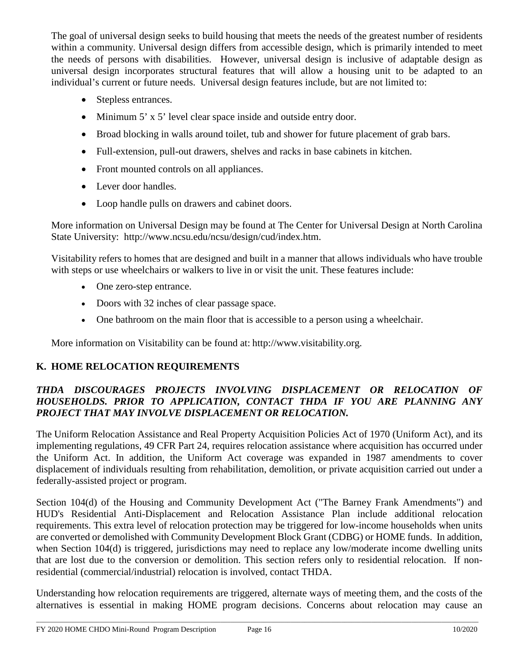The goal of universal design seeks to build housing that meets the needs of the greatest number of residents within a community. Universal design differs from accessible design, which is primarily intended to meet the needs of persons with disabilities. However, universal design is inclusive of adaptable design as universal design incorporates structural features that will allow a housing unit to be adapted to an individual's current or future needs. Universal design features include, but are not limited to:

- Stepless entrances.
- Minimum 5' x 5' level clear space inside and outside entry door.
- Broad blocking in walls around toilet, tub and shower for future placement of grab bars.
- Full-extension, pull-out drawers, shelves and racks in base cabinets in kitchen.
- Front mounted controls on all appliances.
- Lever door handles.
- Loop handle pulls on drawers and cabinet doors.

More information on Universal Design may be found at The Center for Universal Design at North Carolina State University: [http://www.ncsu.edu/ncsu/design/cud/index.htm.](http://www.ncsu.edu/ncsu/design/cud/index.htm)

Visitability refers to homes that are designed and built in a manner that allows individuals who have trouble with steps or use wheelchairs or walkers to live in or visit the unit. These features include:

- One zero-step entrance.
- Doors with 32 inches of clear passage space.
- One bathroom on the main floor that is accessible to a person using a wheelchair.

More information on Visitability can be found at: [http://www.visitability.org.](http://www.visitability.org/)

## **K. HOME RELOCATION REQUIREMENTS**

## *THDA DISCOURAGES PROJECTS INVOLVING DISPLACEMENT OR RELOCATION OF HOUSEHOLDS. PRIOR TO APPLICATION, CONTACT THDA IF YOU ARE PLANNING ANY PROJECT THAT MAY INVOLVE DISPLACEMENT OR RELOCATION.*

The Uniform Relocation Assistance and Real Property Acquisition Policies Act of 1970 (Uniform Act), and its implementing regulations, 49 CFR Part 24, requires relocation assistance where acquisition has occurred under the Uniform Act. In addition, the Uniform Act coverage was expanded in 1987 amendments to cover displacement of individuals resulting from rehabilitation, demolition, or private acquisition carried out under a federally-assisted project or program.

Section 104(d) of the Housing and Community Development Act ("The Barney Frank Amendments") and HUD's Residential Anti-Displacement and Relocation Assistance Plan include additional relocation requirements. This extra level of relocation protection may be triggered for low-income households when units are converted or demolished with Community Development Block Grant (CDBG) or HOME funds. In addition, when Section 104(d) is triggered, jurisdictions may need to replace any low/moderate income dwelling units that are lost due to the conversion or demolition. This section refers only to residential relocation. If nonresidential (commercial/industrial) relocation is involved, contact THDA.

Understanding how relocation requirements are triggered, alternate ways of meeting them, and the costs of the alternatives is essential in making HOME program decisions. Concerns about relocation may cause an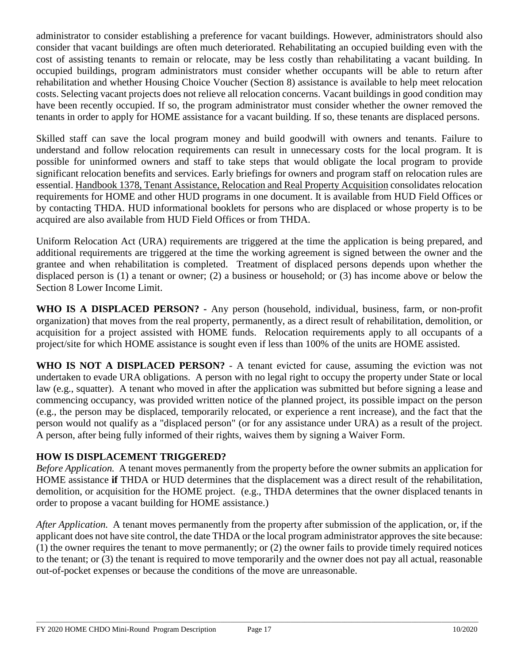administrator to consider establishing a preference for vacant buildings. However, administrators should also consider that vacant buildings are often much deteriorated. Rehabilitating an occupied building even with the cost of assisting tenants to remain or relocate, may be less costly than rehabilitating a vacant building. In occupied buildings, program administrators must consider whether occupants will be able to return after rehabilitation and whether Housing Choice Voucher (Section 8) assistance is available to help meet relocation costs. Selecting vacant projects does not relieve all relocation concerns. Vacant buildings in good condition may have been recently occupied. If so, the program administrator must consider whether the owner removed the tenants in order to apply for HOME assistance for a vacant building. If so, these tenants are displaced persons.

Skilled staff can save the local program money and build goodwill with owners and tenants. Failure to understand and follow relocation requirements can result in unnecessary costs for the local program. It is possible for uninformed owners and staff to take steps that would obligate the local program to provide significant relocation benefits and services. Early briefings for owners and program staff on relocation rules are essential. Handbook 1378, Tenant Assistance, Relocation and Real Property Acquisition consolidates relocation requirements for HOME and other HUD programs in one document. It is available from HUD Field Offices or by contacting THDA. HUD informational booklets for persons who are displaced or whose property is to be acquired are also available from HUD Field Offices or from THDA.

Uniform Relocation Act (URA) requirements are triggered at the time the application is being prepared, and additional requirements are triggered at the time the working agreement is signed between the owner and the grantee and when rehabilitation is completed. Treatment of displaced persons depends upon whether the displaced person is (1) a tenant or owner; (2) a business or household; or (3) has income above or below the Section 8 Lower Income Limit.

**WHO IS A DISPLACED PERSON? -** Any person (household, individual, business, farm, or non-profit organization) that moves from the real property, permanently, as a direct result of rehabilitation, demolition, or acquisition for a project assisted with HOME funds. Relocation requirements apply to all occupants of a project/site for which HOME assistance is sought even if less than 100% of the units are HOME assisted.

**WHO IS NOT A DISPLACED PERSON?** - A tenant evicted for cause, assuming the eviction was not undertaken to evade URA obligations. A person with no legal right to occupy the property under State or local law (e.g., squatter). A tenant who moved in after the application was submitted but before signing a lease and commencing occupancy, was provided written notice of the planned project, its possible impact on the person (e.g., the person may be displaced, temporarily relocated, or experience a rent increase), and the fact that the person would not qualify as a "displaced person" (or for any assistance under URA) as a result of the project. A person, after being fully informed of their rights, waives them by signing a Waiver Form.

## **HOW IS DISPLACEMENT TRIGGERED?**

*Before Application.* A tenant moves permanently from the property before the owner submits an application for HOME assistance **if** THDA or HUD determines that the displacement was a direct result of the rehabilitation, demolition, or acquisition for the HOME project. (e.g., THDA determines that the owner displaced tenants in order to propose a vacant building for HOME assistance.)

*After Application.* A tenant moves permanently from the property after submission of the application, or, if the applicant does not have site control, the date THDA or the local program administrator approves the site because: (1) the owner requires the tenant to move permanently; or (2) the owner fails to provide timely required notices to the tenant; or (3) the tenant is required to move temporarily and the owner does not pay all actual, reasonable out-of-pocket expenses or because the conditions of the move are unreasonable.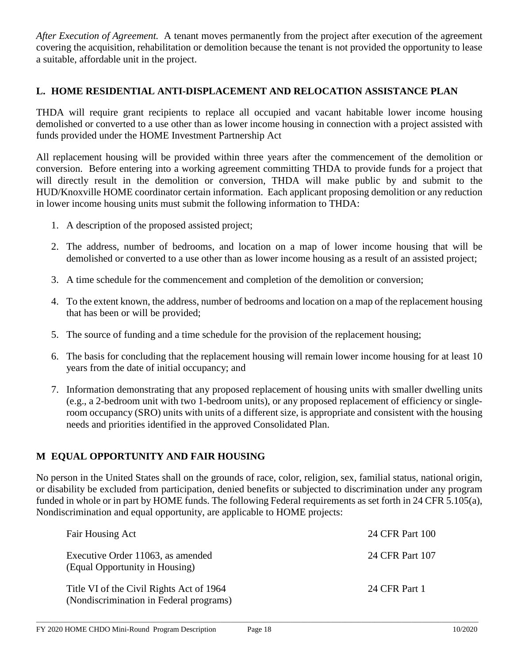*After Execution of Agreement.* A tenant moves permanently from the project after execution of the agreement covering the acquisition, rehabilitation or demolition because the tenant is not provided the opportunity to lease a suitable, affordable unit in the project.

### **L. HOME RESIDENTIAL ANTI-DISPLACEMENT AND RELOCATION ASSISTANCE PLAN**

THDA will require grant recipients to replace all occupied and vacant habitable lower income housing demolished or converted to a use other than as lower income housing in connection with a project assisted with funds provided under the HOME Investment Partnership Act

All replacement housing will be provided within three years after the commencement of the demolition or conversion. Before entering into a working agreement committing THDA to provide funds for a project that will directly result in the demolition or conversion, THDA will make public by and submit to the HUD/Knoxville HOME coordinator certain information. Each applicant proposing demolition or any reduction in lower income housing units must submit the following information to THDA:

- 1. A description of the proposed assisted project;
- 2. The address, number of bedrooms, and location on a map of lower income housing that will be demolished or converted to a use other than as lower income housing as a result of an assisted project;
- 3. A time schedule for the commencement and completion of the demolition or conversion;
- 4. To the extent known, the address, number of bedrooms and location on a map of the replacement housing that has been or will be provided;
- 5. The source of funding and a time schedule for the provision of the replacement housing;
- 6. The basis for concluding that the replacement housing will remain lower income housing for at least 10 years from the date of initial occupancy; and
- 7. Information demonstrating that any proposed replacement of housing units with smaller dwelling units (e.g., a 2-bedroom unit with two 1-bedroom units), or any proposed replacement of efficiency or singleroom occupancy (SRO) units with units of a different size, is appropriate and consistent with the housing needs and priorities identified in the approved Consolidated Plan.

## **M EQUAL OPPORTUNITY AND FAIR HOUSING**

No person in the United States shall on the grounds of race, color, religion, sex, familial status, national origin, or disability be excluded from participation, denied benefits or subjected to discrimination under any program funded in whole or in part by HOME funds. The following Federal requirements as set forth in 24 CFR 5.105(a), Nondiscrimination and equal opportunity, are applicable to HOME projects:

| Fair Housing Act                                                                    | 24 CFR Part 100 |
|-------------------------------------------------------------------------------------|-----------------|
| Executive Order 11063, as amended<br>(Equal Opportunity in Housing)                 | 24 CFR Part 107 |
| Title VI of the Civil Rights Act of 1964<br>(Nondiscrimination in Federal programs) | 24 CFR Part 1   |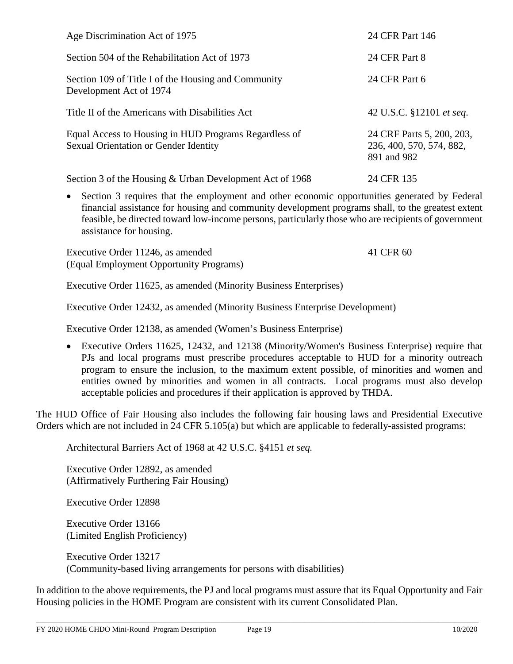| Age Discrimination Act of 1975                                                                 | 24 CFR Part 146                                                      |
|------------------------------------------------------------------------------------------------|----------------------------------------------------------------------|
| Section 504 of the Rehabilitation Act of 1973                                                  | 24 CFR Part 8                                                        |
| Section 109 of Title I of the Housing and Community<br>Development Act of 1974                 | 24 CFR Part 6                                                        |
| Title II of the Americans with Disabilities Act                                                | 42 U.S.C. §12101 et seq.                                             |
| Equal Access to Housing in HUD Programs Regardless of<br>Sexual Orientation or Gender Identity | 24 CRF Parts 5, 200, 203,<br>236, 400, 570, 574, 882,<br>891 and 982 |
| Section 3 of the Housing & Urban Development Act of 1968                                       | 24 CFR 135                                                           |

• Section 3 requires that the employment and other economic opportunities generated by Federal financial assistance for housing and community development programs shall, to the greatest extent feasible, be directed toward low-income persons, particularly those who are recipients of government assistance for housing.

Executive Order 11246, as amended 41 CFR 60 (Equal Employment Opportunity Programs)

Executive Order 11625, as amended (Minority Business Enterprises)

Executive Order 12432, as amended (Minority Business Enterprise Development)

Executive Order 12138, as amended (Women's Business Enterprise)

• Executive Orders 11625, 12432, and 12138 (Minority/Women's Business Enterprise) require that PJs and local programs must prescribe procedures acceptable to HUD for a minority outreach program to ensure the inclusion, to the maximum extent possible, of minorities and women and entities owned by minorities and women in all contracts. Local programs must also develop acceptable policies and procedures if their application is approved by THDA.

The HUD Office of Fair Housing also includes the following fair housing laws and Presidential Executive Orders which are not included in 24 CFR 5.105(a) but which are applicable to federally-assisted programs:

Architectural Barriers Act of 1968 at 42 U.S.C. §4151 *et seq.*

Executive Order 12892, as amended (Affirmatively Furthering Fair Housing)

Executive Order 12898

Executive Order 13166 (Limited English Proficiency)

Executive Order 13217 (Community-based living arrangements for persons with disabilities)

In addition to the above requirements, the PJ and local programs must assure that its Equal Opportunity and Fair Housing policies in the HOME Program are consistent with its current Consolidated Plan.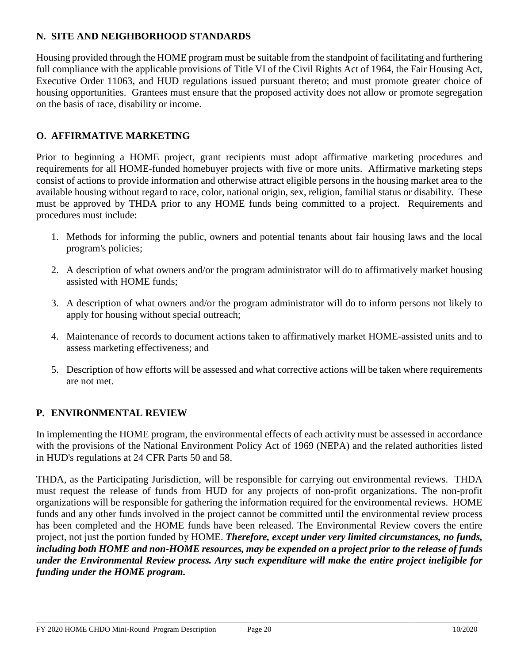## **N. SITE AND NEIGHBORHOOD STANDARDS**

Housing provided through the HOME program must be suitable from the standpoint of facilitating and furthering full compliance with the applicable provisions of Title VI of the Civil Rights Act of 1964, the Fair Housing Act, Executive Order 11063, and HUD regulations issued pursuant thereto; and must promote greater choice of housing opportunities. Grantees must ensure that the proposed activity does not allow or promote segregation on the basis of race, disability or income.

## **O. AFFIRMATIVE MARKETING**

Prior to beginning a HOME project, grant recipients must adopt affirmative marketing procedures and requirements for all HOME-funded homebuyer projects with five or more units. Affirmative marketing steps consist of actions to provide information and otherwise attract eligible persons in the housing market area to the available housing without regard to race, color, national origin, sex, religion, familial status or disability. These must be approved by THDA prior to any HOME funds being committed to a project. Requirements and procedures must include:

- 1. Methods for informing the public, owners and potential tenants about fair housing laws and the local program's policies;
- 2. A description of what owners and/or the program administrator will do to affirmatively market housing assisted with HOME funds;
- 3. A description of what owners and/or the program administrator will do to inform persons not likely to apply for housing without special outreach;
- 4. Maintenance of records to document actions taken to affirmatively market HOME-assisted units and to assess marketing effectiveness; and
- 5. Description of how efforts will be assessed and what corrective actions will be taken where requirements are not met.

## **P. ENVIRONMENTAL REVIEW**

In implementing the HOME program, the environmental effects of each activity must be assessed in accordance with the provisions of the National Environment Policy Act of 1969 (NEPA) and the related authorities listed in HUD's regulations at 24 CFR Parts 50 and 58.

THDA, as the Participating Jurisdiction, will be responsible for carrying out environmental reviews. THDA must request the release of funds from HUD for any projects of non-profit organizations. The non-profit organizations will be responsible for gathering the information required for the environmental reviews. HOME funds and any other funds involved in the project cannot be committed until the environmental review process has been completed and the HOME funds have been released. The Environmental Review covers the entire project, not just the portion funded by HOME. *Therefore, except under very limited circumstances, no funds, including both HOME and non-HOME resources, may be expended on a project prior to the release of funds under the Environmental Review process. Any such expenditure will make the entire project ineligible for funding under the HOME program.*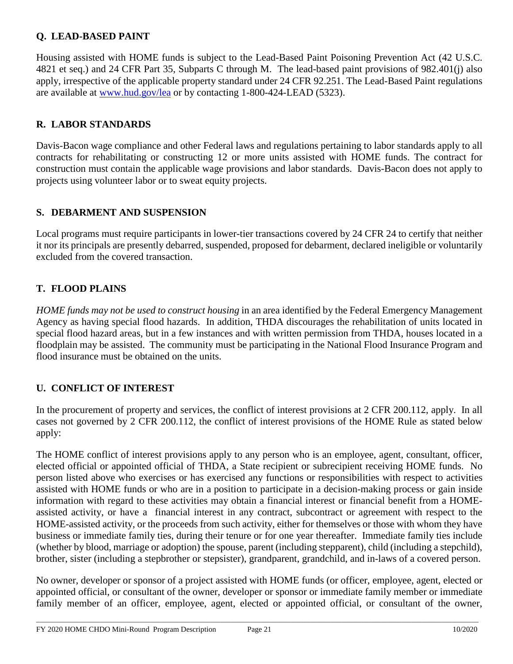## **Q. LEAD-BASED PAINT**

Housing assisted with HOME funds is subject to the Lead-Based Paint Poisoning Prevention Act (42 U.S.C. 4821 et seq.) and 24 CFR Part 35, Subparts C through M. The lead-based paint provisions of 982.401(j) also apply, irrespective of the applicable property standard under 24 CFR 92.251. The Lead-Based Paint regulations are available at [www.hud.gov/lea](http://www.hud.gov/lea) or by contacting 1-800-424-LEAD (5323).

#### **R. LABOR STANDARDS**

Davis-Bacon wage compliance and other Federal laws and regulations pertaining to labor standards apply to all contracts for rehabilitating or constructing 12 or more units assisted with HOME funds. The contract for construction must contain the applicable wage provisions and labor standards. Davis-Bacon does not apply to projects using volunteer labor or to sweat equity projects.

### **S. DEBARMENT AND SUSPENSION**

Local programs must require participants in lower-tier transactions covered by 24 CFR 24 to certify that neither it nor its principals are presently debarred, suspended, proposed for debarment, declared ineligible or voluntarily excluded from the covered transaction.

## **T. FLOOD PLAINS**

*HOME funds may not be used to construct housing* in an area identified by the Federal Emergency Management Agency as having special flood hazards. In addition, THDA discourages the rehabilitation of units located in special flood hazard areas, but in a few instances and with written permission from THDA, houses located in a floodplain may be assisted. The community must be participating in the National Flood Insurance Program and flood insurance must be obtained on the units.

## **U. CONFLICT OF INTEREST**

In the procurement of property and services, the conflict of interest provisions at 2 CFR 200.112, apply. In all cases not governed by 2 CFR 200.112, the conflict of interest provisions of the HOME Rule as stated below apply:

The HOME conflict of interest provisions apply to any person who is an employee, agent, consultant, officer, elected official or appointed official of THDA, a State recipient or subrecipient receiving HOME funds. No person listed above who exercises or has exercised any functions or responsibilities with respect to activities assisted with HOME funds or who are in a position to participate in a decision-making process or gain inside information with regard to these activities may obtain a financial interest or financial benefit from a HOMEassisted activity, or have a financial interest in any contract, subcontract or agreement with respect to the HOME-assisted activity, or the proceeds from such activity, either for themselves or those with whom they have business or immediate family ties, during their tenure or for one year thereafter. Immediate family ties include (whether by blood, marriage or adoption) the spouse, parent (including stepparent), child (including a stepchild), brother, sister (including a stepbrother or stepsister), grandparent, grandchild, and in-laws of a covered person.

No owner, developer or sponsor of a project assisted with HOME funds (or officer, employee, agent, elected or appointed official, or consultant of the owner, developer or sponsor or immediate family member or immediate family member of an officer, employee, agent, elected or appointed official, or consultant of the owner,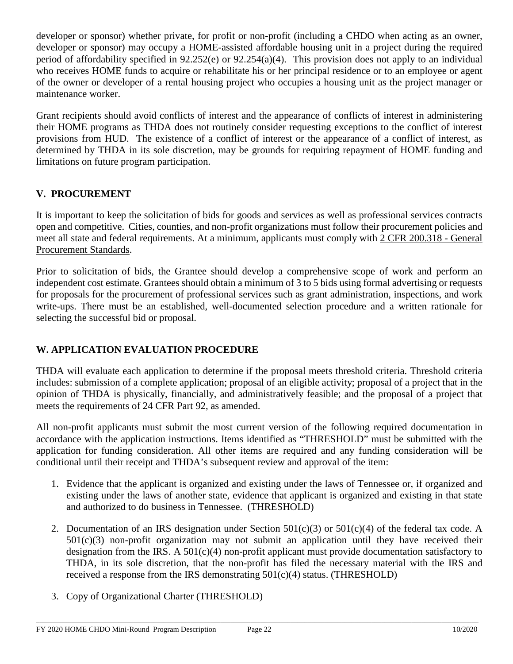developer or sponsor) whether private, for profit or non-profit (including a CHDO when acting as an owner, developer or sponsor) may occupy a HOME-assisted affordable housing unit in a project during the required period of affordability specified in 92.252(e) or 92.254(a)(4). This provision does not apply to an individual who receives HOME funds to acquire or rehabilitate his or her principal residence or to an employee or agent of the owner or developer of a rental housing project who occupies a housing unit as the project manager or maintenance worker.

Grant recipients should avoid conflicts of interest and the appearance of conflicts of interest in administering their HOME programs as THDA does not routinely consider requesting exceptions to the conflict of interest provisions from HUD. The existence of a conflict of interest or the appearance of a conflict of interest, as determined by THDA in its sole discretion, may be grounds for requiring repayment of HOME funding and limitations on future program participation.

# **V. PROCUREMENT**

It is important to keep the solicitation of bids for goods and services as well as professional services contracts open and competitive. Cities, counties, and non-profit organizations must follow their procurement policies and meet all state and federal requirements. At a minimum, applicants must comply with 2 CFR 200.318 - General Procurement Standards.

Prior to solicitation of bids, the Grantee should develop a comprehensive scope of work and perform an independent cost estimate. Grantees should obtain a minimum of 3 to 5 bids using formal advertising or requests for proposals for the procurement of professional services such as grant administration, inspections, and work write-ups. There must be an established, well-documented selection procedure and a written rationale for selecting the successful bid or proposal.

# **W. APPLICATION EVALUATION PROCEDURE**

THDA will evaluate each application to determine if the proposal meets threshold criteria. Threshold criteria includes: submission of a complete application; proposal of an eligible activity; proposal of a project that in the opinion of THDA is physically, financially, and administratively feasible; and the proposal of a project that meets the requirements of 24 CFR Part 92, as amended.

All non-profit applicants must submit the most current version of the following required documentation in accordance with the application instructions. Items identified as "THRESHOLD" must be submitted with the application for funding consideration. All other items are required and any funding consideration will be conditional until their receipt and THDA's subsequent review and approval of the item:

- 1. Evidence that the applicant is organized and existing under the laws of Tennessee or, if organized and existing under the laws of another state, evidence that applicant is organized and existing in that state and authorized to do business in Tennessee. (THRESHOLD)
- 2. Documentation of an IRS designation under Section  $501(c)(3)$  or  $501(c)(4)$  of the federal tax code. A  $501(c)(3)$  non-profit organization may not submit an application until they have received their designation from the IRS. A  $501(c)(4)$  non-profit applicant must provide documentation satisfactory to THDA, in its sole discretion, that the non-profit has filed the necessary material with the IRS and received a response from the IRS demonstrating  $501(c)(4)$  status. (THRESHOLD)

\_\_\_\_\_\_\_\_\_\_\_\_\_\_\_\_\_\_\_\_\_\_\_\_\_\_\_\_\_\_\_\_\_\_\_\_\_\_\_\_\_\_\_\_\_\_\_\_\_\_\_\_\_\_\_\_\_\_\_\_\_\_\_\_\_\_\_\_\_\_\_\_\_\_\_\_\_\_\_\_\_\_\_\_\_\_\_\_\_\_\_\_\_\_\_\_\_\_\_\_\_\_\_\_\_\_\_\_\_\_\_\_\_\_\_\_\_\_\_\_\_\_\_\_\_\_\_\_\_\_\_\_

3. Copy of Organizational Charter (THRESHOLD)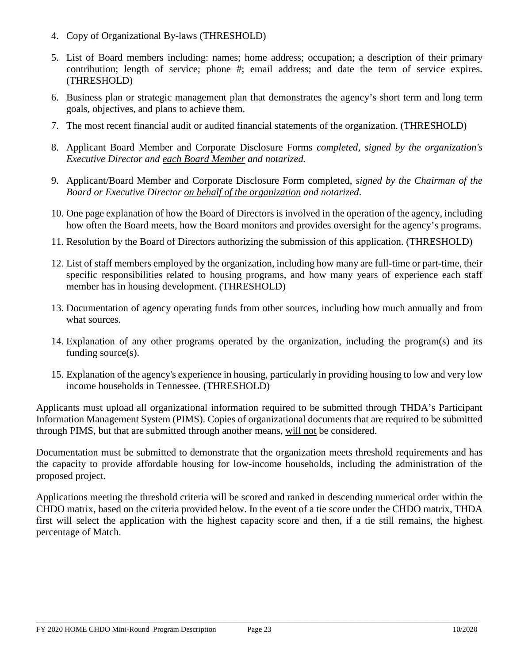- 4. Copy of Organizational By-laws (THRESHOLD)
- 5. List of Board members including: names; home address; occupation; a description of their primary contribution; length of service; phone #; email address; and date the term of service expires. (THRESHOLD)
- 6. Business plan or strategic management plan that demonstrates the agency's short term and long term goals, objectives, and plans to achieve them.
- 7. The most recent financial audit or audited financial statements of the organization. (THRESHOLD)
- 8. Applicant Board Member and Corporate Disclosure Forms *completed, signed by the organization's Executive Director and each Board Member and notarized.*
- 9. Applicant/Board Member and Corporate Disclosure Form completed, *signed by the Chairman of the Board or Executive Director on behalf of the organization and notarized*.
- 10. One page explanation of how the Board of Directors is involved in the operation of the agency, including how often the Board meets, how the Board monitors and provides oversight for the agency's programs.
- 11. Resolution by the Board of Directors authorizing the submission of this application. (THRESHOLD)
- 12. List of staff members employed by the organization, including how many are full-time or part-time, their specific responsibilities related to housing programs, and how many years of experience each staff member has in housing development. (THRESHOLD)
- 13. Documentation of agency operating funds from other sources, including how much annually and from what sources.
- 14. Explanation of any other programs operated by the organization, including the program(s) and its funding source(s).
- 15. Explanation of the agency's experience in housing, particularly in providing housing to low and very low income households in Tennessee. (THRESHOLD)

Applicants must upload all organizational information required to be submitted through THDA's Participant Information Management System (PIMS). Copies of organizational documents that are required to be submitted through PIMS, but that are submitted through another means, will not be considered.

Documentation must be submitted to demonstrate that the organization meets threshold requirements and has the capacity to provide affordable housing for low-income households, including the administration of the proposed project.

Applications meeting the threshold criteria will be scored and ranked in descending numerical order within the CHDO matrix, based on the criteria provided below. In the event of a tie score under the CHDO matrix, THDA first will select the application with the highest capacity score and then, if a tie still remains, the highest percentage of Match.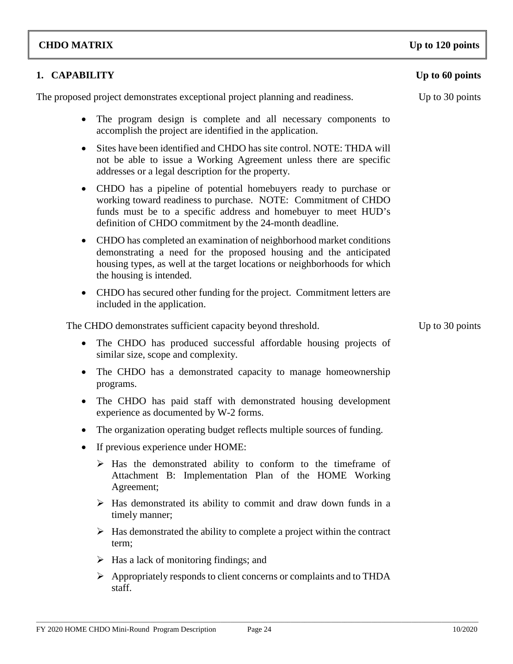#### FY 2020 HOME CHDO Mini-Round Program Description Page 24 10/2020

The proposed project demonstrates exceptional project planning and readiness. Up to 30 points

• The program design is complete and all necessary components to accomplish the project are identified in the application.

**1. CAPABILITY Up to 60 points**

- Sites have been identified and CHDO has site control. NOTE: THDA will not be able to issue a Working Agreement unless there are specific addresses or a legal description for the property.
- CHDO has a pipeline of potential homebuyers ready to purchase or working toward readiness to purchase. NOTE: Commitment of CHDO funds must be to a specific address and homebuyer to meet HUD's definition of CHDO commitment by the 24-month deadline.
- CHDO has completed an examination of neighborhood market conditions demonstrating a need for the proposed housing and the anticipated housing types, as well at the target locations or neighborhoods for which the housing is intended.
- CHDO has secured other funding for the project. Commitment letters are included in the application.

The CHDO demonstrates sufficient capacity beyond threshold. Up to 30 points

- The CHDO has produced successful affordable housing projects of similar size, scope and complexity.
- The CHDO has a demonstrated capacity to manage homeownership programs.
- The CHDO has paid staff with demonstrated housing development experience as documented by W-2 forms.
- The organization operating budget reflects multiple sources of funding.
- If previous experience under HOME:
	- $\triangleright$  Has the demonstrated ability to conform to the timeframe of Attachment B: Implementation Plan of the HOME Working Agreement;
	- $\triangleright$  Has demonstrated its ability to commit and draw down funds in a timely manner;
	- $\triangleright$  Has demonstrated the ability to complete a project within the contract term;
	- $\triangleright$  Has a lack of monitoring findings; and
	- $\triangleright$  Appropriately responds to client concerns or complaints and to THDA staff.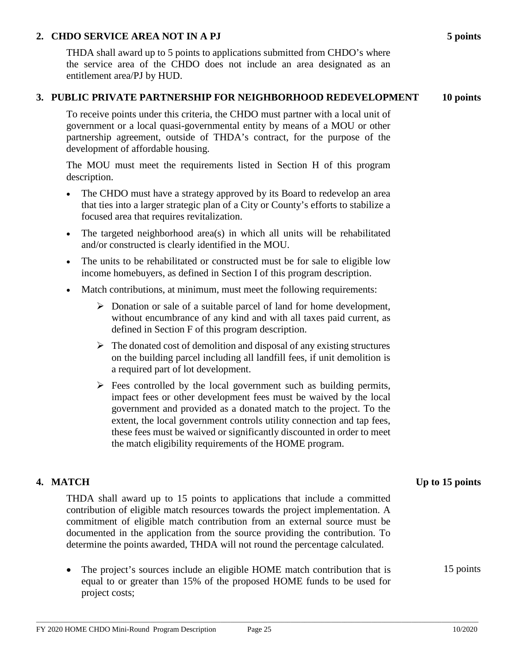#### **2. CHDO SERVICE AREA NOT IN A PJ 5 points**

THDA shall award up to 5 points to applications submitted from CHDO's where the service area of the CHDO does not include an area designated as an entitlement area/PJ by HUD.

#### **3. PUBLIC PRIVATE PARTNERSHIP FOR NEIGHBORHOOD REDEVELOPMENT 10 points**

To receive points under this criteria, the CHDO must partner with a local unit of government or a local quasi-governmental entity by means of a MOU or other partnership agreement, outside of THDA's contract, for the purpose of the development of affordable housing.

The MOU must meet the requirements listed in Section H of this program description.

- The CHDO must have a strategy approved by its Board to redevelop an area that ties into a larger strategic plan of a City or County's efforts to stabilize a focused area that requires revitalization.
- The targeted neighborhood area(s) in which all units will be rehabilitated and/or constructed is clearly identified in the MOU.
- The units to be rehabilitated or constructed must be for sale to eligible low income homebuyers, as defined in Section I of this program description.
- Match contributions, at minimum, must meet the following requirements:
	- $\triangleright$  Donation or sale of a suitable parcel of land for home development, without encumbrance of any kind and with all taxes paid current, as defined in Section F of this program description.
	- $\triangleright$  The donated cost of demolition and disposal of any existing structures on the building parcel including all landfill fees, if unit demolition is a required part of lot development.
	- $\triangleright$  Fees controlled by the local government such as building permits, impact fees or other development fees must be waived by the local government and provided as a donated match to the project. To the extent, the local government controls utility connection and tap fees, these fees must be waived or significantly discounted in order to meet the match eligibility requirements of the HOME program.

THDA shall award up to 15 points to applications that include a committed contribution of eligible match resources towards the project implementation. A commitment of eligible match contribution from an external source must be documented in the application from the source providing the contribution. To determine the points awarded, THDA will not round the percentage calculated.

• The project's sources include an eligible HOME match contribution that is equal to or greater than 15% of the proposed HOME funds to be used for project costs;

**4. MATCH Up to 15 points**

15 points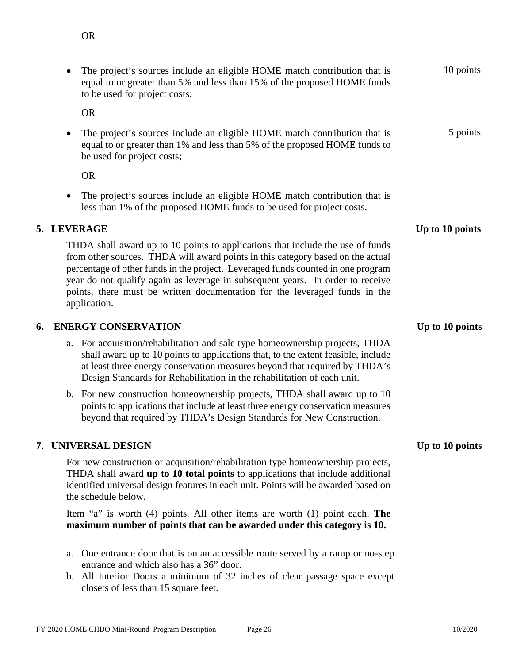|    | The project's sources include an eligible HOME match contribution that is<br>equal to or greater than 5% and less than 15% of the proposed HOME funds<br>to be used for project costs;                                                                                                                                                                                                                                                | 10 points       |
|----|---------------------------------------------------------------------------------------------------------------------------------------------------------------------------------------------------------------------------------------------------------------------------------------------------------------------------------------------------------------------------------------------------------------------------------------|-----------------|
|    | <b>OR</b>                                                                                                                                                                                                                                                                                                                                                                                                                             |                 |
|    | The project's sources include an eligible HOME match contribution that is<br>equal to or greater than 1% and less than 5% of the proposed HOME funds to<br>be used for project costs;                                                                                                                                                                                                                                                 | 5 points        |
|    | <b>OR</b>                                                                                                                                                                                                                                                                                                                                                                                                                             |                 |
|    | The project's sources include an eligible HOME match contribution that is<br>$\bullet$<br>less than 1% of the proposed HOME funds to be used for project costs.                                                                                                                                                                                                                                                                       |                 |
|    | 5. LEVERAGE                                                                                                                                                                                                                                                                                                                                                                                                                           | Up to 10 points |
|    | THDA shall award up to 10 points to applications that include the use of funds<br>from other sources. THDA will award points in this category based on the actual<br>percentage of other funds in the project. Leveraged funds counted in one program<br>year do not qualify again as leverage in subsequent years. In order to receive<br>points, there must be written documentation for the leveraged funds in the<br>application. |                 |
| 6. | <b>ENERGY CONSERVATION</b>                                                                                                                                                                                                                                                                                                                                                                                                            | Up to 10 points |
|    | a. For acquisition/rehabilitation and sale type homeownership projects, THDA<br>shall award up to 10 points to applications that, to the extent feasible, include<br>at least three energy conservation measures beyond that required by THDA's<br>Design Standards for Rehabilitation in the rehabilitation of each unit.                                                                                                            |                 |
|    | b. For new construction homeownership projects, THDA shall award up to 10<br>points to applications that include at least three energy conservation measures<br>beyond that required by THDA's Design Standards for New Construction.                                                                                                                                                                                                 |                 |
|    | 7. UNIVERSAL DESIGN                                                                                                                                                                                                                                                                                                                                                                                                                   | Up to 10 points |
|    | For new construction or acquisition/rehabilitation type homeownership projects,<br>THDA shall award up to 10 total points to applications that include additional<br>identified universal design features in each unit. Points will be awarded based on<br>the schedule below.                                                                                                                                                        |                 |
|    | Item "a" is worth $(4)$ points. All other items are worth $(1)$ point each. The<br>maximum number of points that can be awarded under this category is 10.                                                                                                                                                                                                                                                                            |                 |
|    | One entrance door that is on an accessible route served by a ramp or no-step<br>a.<br>entrance and which also has a 36" door.                                                                                                                                                                                                                                                                                                         |                 |

b. All Interior Doors a minimum of 32 inches of clear passage space except closets of less than 15 square feet.